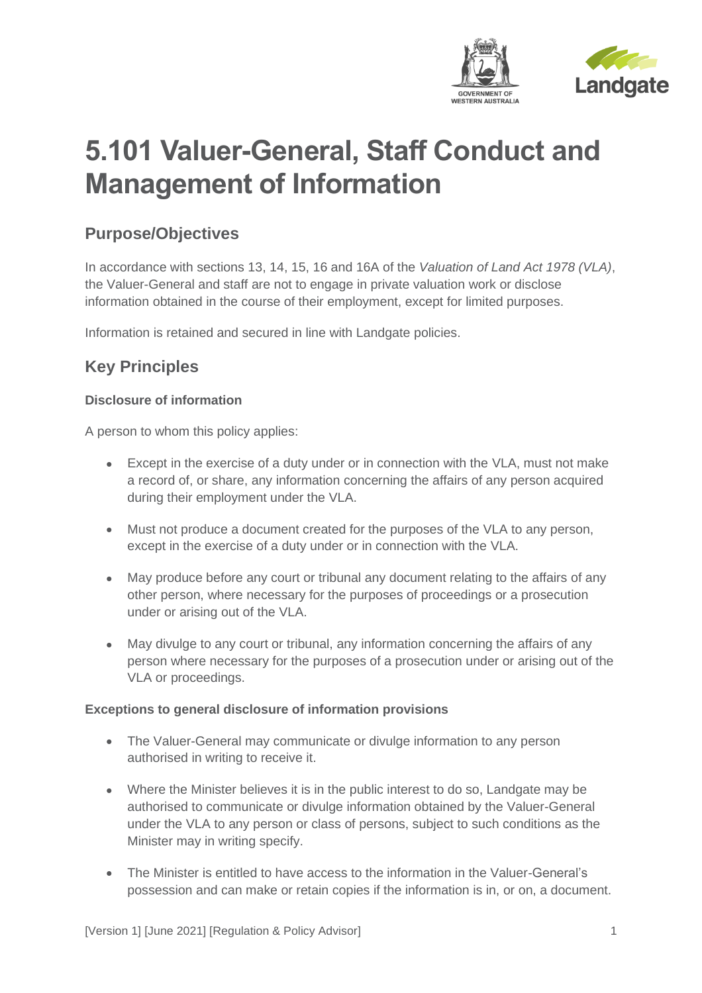

# **5.101 Valuer-General, Staff Conduct and Management of Information**

## **Purpose/Objectives**

In accordance with sections 13, 14, 15, 16 and 16A of the *Valuation of Land Act 1978 (VLA)*, the Valuer-General and staff are not to engage in private valuation work or disclose information obtained in the course of their employment, except for limited purposes.

Information is retained and secured in line with Landgate policies.

# **Key Principles**

#### **Disclosure of information**

A person to whom this policy applies:

- Except in the exercise of a duty under or in connection with the VLA, must not make a record of, or share, any information concerning the affairs of any person acquired during their employment under the VLA.
- Must not produce a document created for the purposes of the VLA to any person, except in the exercise of a duty under or in connection with the VLA.
- May produce before any court or tribunal any document relating to the affairs of any other person, where necessary for the purposes of proceedings or a prosecution under or arising out of the VLA.
- May divulge to any court or tribunal, any information concerning the affairs of any person where necessary for the purposes of a prosecution under or arising out of the VLA or proceedings.

#### **Exceptions to general disclosure of information provisions**

- The Valuer-General may communicate or divulge information to any person authorised in writing to receive it.
- Where the Minister believes it is in the public interest to do so, Landgate may be authorised to communicate or divulge information obtained by the Valuer-General under the VLA to any person or class of persons, subject to such conditions as the Minister may in writing specify.
- The Minister is entitled to have access to the information in the Valuer-General's possession and can make or retain copies if the information is in, or on, a document.